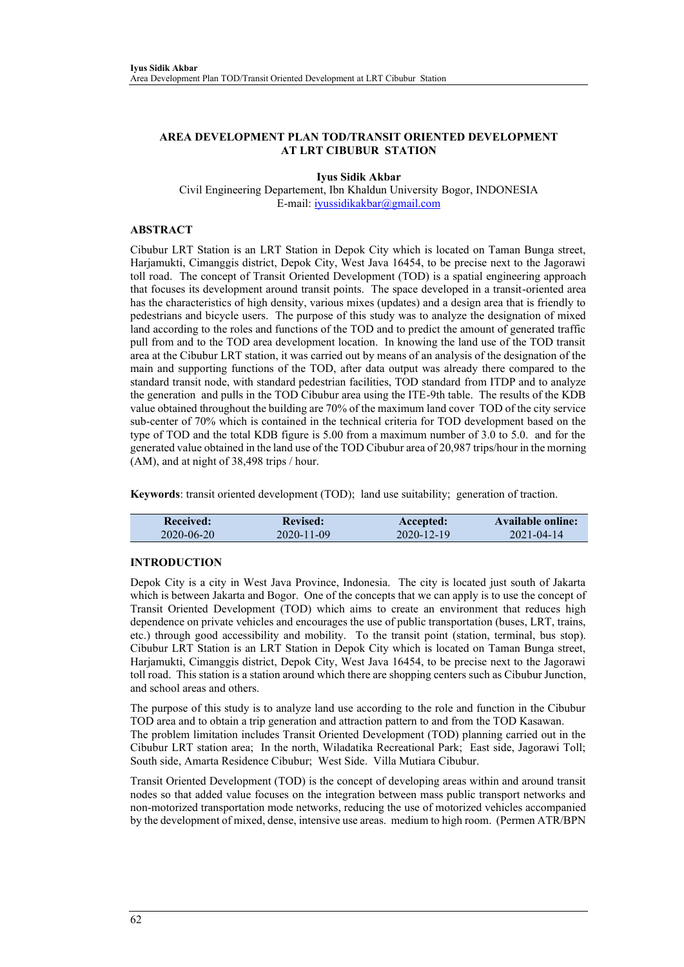# **AREA DEVELOPMENT PLAN TOD/TRANSIT ORIENTED DEVELOPMENT AT LRT CIBUBUR STATION**

**Iyus Sidik Akbar**

Civil Engineering Departement, Ibn Khaldun University Bogor, INDONESIA E-mail: iyussidikakbar@gmail.com

#### **ABSTRACT**

Cibubur LRT Station is an LRT Station in Depok City which is located on Taman Bunga street, Harjamukti, Cimanggis district, Depok City, West Java 16454, to be precise next to the Jagorawi toll road. The concept of Transit Oriented Development (TOD) is a spatial engineering approach that focuses its development around transit points. The space developed in a transit-oriented area has the characteristics of high density, various mixes (updates) and a design area that is friendly to pedestrians and bicycle users. The purpose of this study was to analyze the designation of mixed land according to the roles and functions of the TOD and to predict the amount of generated traffic pull from and to the TOD area development location. In knowing the land use of the TOD transit area at the Cibubur LRT station, it was carried out by means of an analysis of the designation of the main and supporting functions of the TOD, after data output was already there compared to the standard transit node, with standard pedestrian facilities, TOD standard from ITDP and to analyze the generation and pulls in the TOD Cibubur area using the ITE-9th table. The results of the KDB value obtained throughout the building are 70% of the maximum land cover TOD of the city service sub-center of 70% which is contained in the technical criteria for TOD development based on the type of TOD and the total KDB figure is 5.00 from a maximum number of 3.0 to 5.0. and for the generated value obtained in the land use of the TOD Cibubur area of 20,987 trips/hour in the morning (AM), and at night of 38,498 trips / hour.

**Keywords**: transit oriented development (TOD); land use suitability; generation of traction.

| Received:  | <b>Revised:</b> | Accepted:        | <b>Available online:</b> |
|------------|-----------------|------------------|--------------------------|
| 2020-06-20 | 2020-11-09.     | $2020 - 12 - 19$ | $2021 - 04 - 14$         |

## **INTRODUCTION**

Depok City is a city in West Java Province, Indonesia. The city is located just south of Jakarta which is between Jakarta and Bogor. One of the concepts that we can apply is to use the concept of Transit Oriented Development (TOD) which aims to create an environment that reduces high dependence on private vehicles and encourages the use of public transportation (buses, LRT, trains, etc.) through good accessibility and mobility. To the transit point (station, terminal, bus stop). Cibubur LRT Station is an LRT Station in Depok City which is located on Taman Bunga street, Harjamukti, Cimanggis district, Depok City, West Java 16454, to be precise next to the Jagorawi toll road. This station is a station around which there are shopping centers such as Cibubur Junction, and school areas and others.

The purpose of this study is to analyze land use according to the role and function in the Cibubur TOD area and to obtain a trip generation and attraction pattern to and from the TOD Kasawan. The problem limitation includes Transit Oriented Development (TOD) planning carried out in the Cibubur LRT station area; In the north, Wiladatika Recreational Park; East side, Jagorawi Toll; South side, Amarta Residence Cibubur; West Side. Villa Mutiara Cibubur.

Transit Oriented Development (TOD) is the concept of developing areas within and around transit nodes so that added value focuses on the integration between mass public transport networks and non-motorized transportation mode networks, reducing the use of motorized vehicles accompanied by the development of mixed, dense, intensive use areas. medium to high room. (Permen ATR/BPN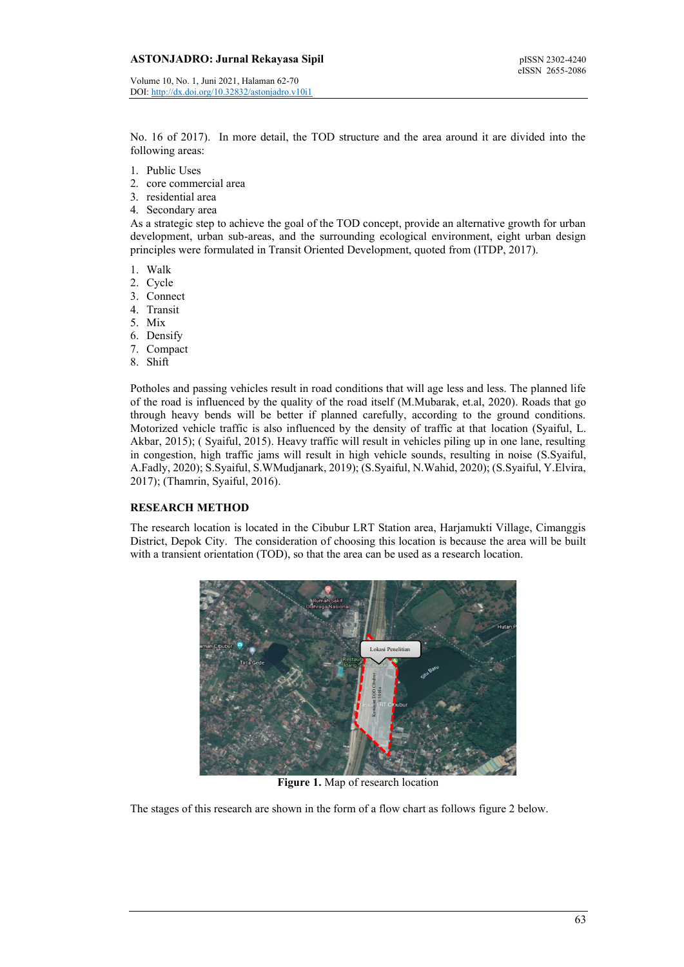No. 16 of 2017). In more detail, the TOD structure and the area around it are divided into the following areas:

- 1. Public Uses
- 2. core commercial area
- 3. residential area
- 4. Secondary area

As a strategic step to achieve the goal of the TOD concept, provide an alternative growth for urban development, urban sub-areas, and the surrounding ecological environment, eight urban design principles were formulated in Transit Oriented Development, quoted from (ITDP, 2017).

- 1. Walk
- 2. Cycle
- 3. Connect
- 4. Transit
- 5. Mix
- 6. Densify
- 7. Compact
- 8. Shift

Potholes and passing vehicles result in road conditions that will age less and less. The planned life of the road is influenced by the quality of the road itself (M.Mubarak, et.al, 2020). Roads that go through heavy bends will be better if planned carefully, according to the ground conditions. Motorized vehicle traffic is also influenced by the density of traffic at that location (Syaiful, L. Akbar, 2015); ( Syaiful, 2015). Heavy traffic will result in vehicles piling up in one lane, resulting in congestion, high traffic jams will result in high vehicle sounds, resulting in noise (S.Syaiful, A.Fadly, 2020); S.Syaiful, S.WMudjanark, 2019); (S.Syaiful, N.Wahid, 2020); (S.Syaiful, Y.Elvira, 2017); (Thamrin, Syaiful, 2016).

## **RESEARCH METHOD**

The research location is located in the Cibubur LRT Station area, Harjamukti Village, Cimanggis District, Depok City. The consideration of choosing this location is because the area will be built with a transient orientation (TOD), so that the area can be used as a research location.



**Figure 1.** Map of research location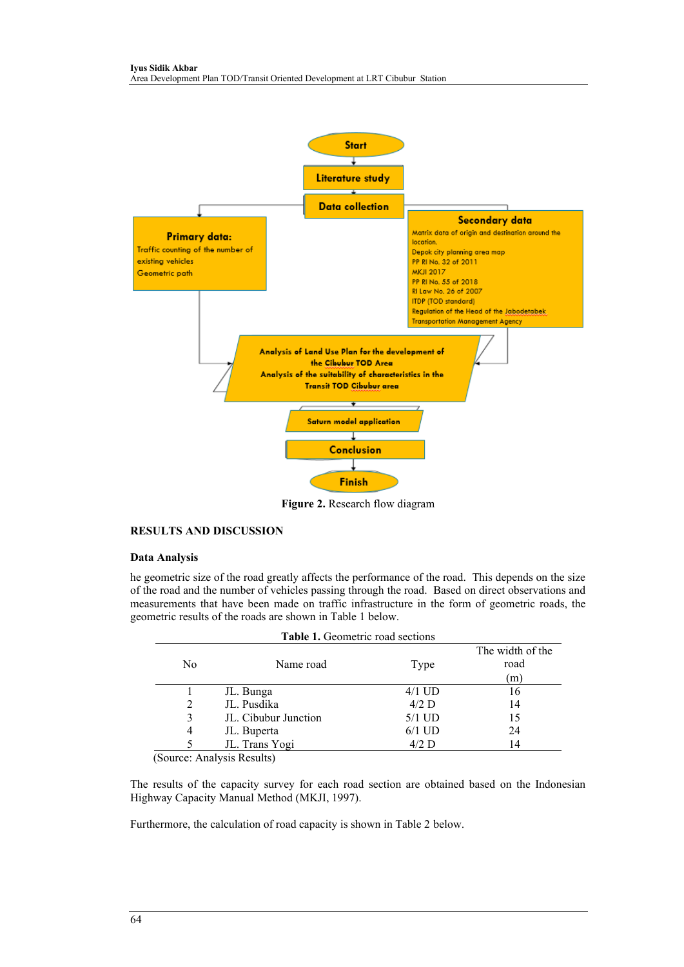

**Figure 2.** Research flow diagram

## **RESULTS AND DISCUSSION**

## **Data Analysis**

he geometric size of the road greatly affects the performance of the road. This depends on the size of the road and the number of vehicles passing through the road. Based on direct observations and measurements that have been made on traffic infrastructure in the form of geometric roads, the geometric results of the roads are shown in Table 1 below.

| Table 1. Geometric road sections |                      |          |                  |  |  |  |  |  |
|----------------------------------|----------------------|----------|------------------|--|--|--|--|--|
|                                  |                      |          | The width of the |  |  |  |  |  |
| N <sub>0</sub>                   | Name road            | Type     | road             |  |  |  |  |  |
|                                  |                      |          | (m)              |  |  |  |  |  |
|                                  | JL. Bunga            | $4/1$ UD | 16               |  |  |  |  |  |
| 2                                | JL. Pusdika          | $4/2$ D  | 14               |  |  |  |  |  |
| 3                                | JL. Cibubur Junction | $5/1$ UD | 15               |  |  |  |  |  |
| 4                                | JL. Buperta          | $6/1$ UD | 24               |  |  |  |  |  |
|                                  | JL. Trans Yogi       | $4/2$ D  | 14               |  |  |  |  |  |
| $(0 \tA \t1 \tB \tA \t1$         |                      |          |                  |  |  |  |  |  |

(Source: Analysis Results)

The results of the capacity survey for each road section are obtained based on the Indonesian Highway Capacity Manual Method (MKJI, 1997).

Furthermore, the calculation of road capacity is shown in Table 2 below.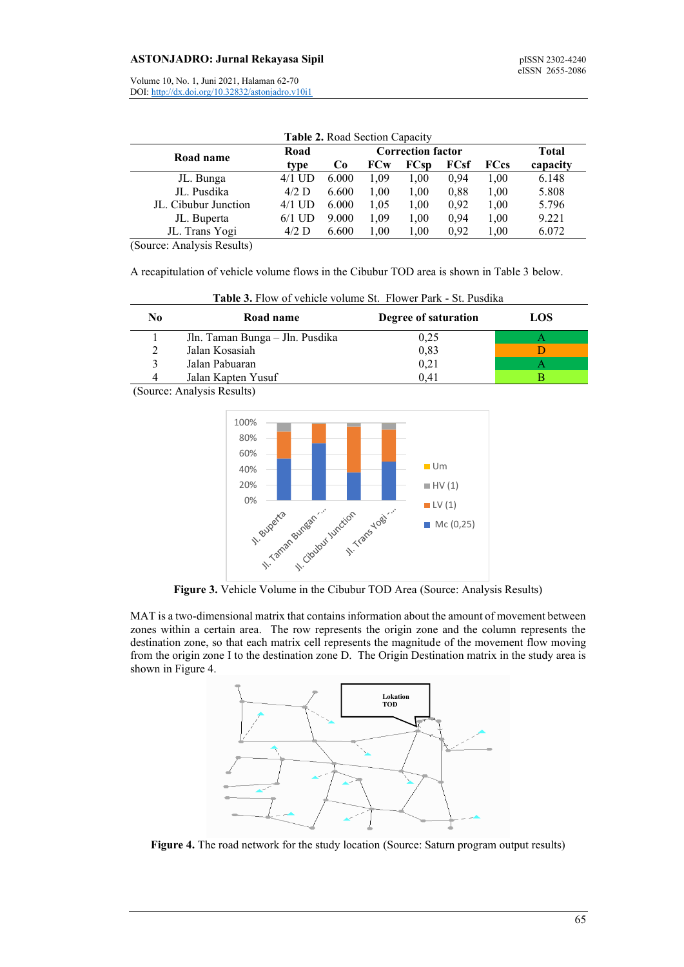#### **ASTONJADRO: Jurnal Rekayasa Sipil** pISSN 2302-4240

Volume 10, No. 1, Juni 2021, Halaman 62-70 DOI:<http://dx.doi.org/10.32832/astonjadro.v10i1>

| <b>Table 2. Road Section Capacity</b> |          |                          |      |             |             |             |          |  |  |
|---------------------------------------|----------|--------------------------|------|-------------|-------------|-------------|----------|--|--|
| Road name                             | Road     | <b>Correction factor</b> |      |             |             |             |          |  |  |
|                                       | type     | C <sub>0</sub>           | FCw  | <b>FCsp</b> | <b>FCsf</b> | <b>FCcs</b> | capacity |  |  |
| JL. Bunga                             | $4/1$ UD | 6.000                    | 1.09 | 1,00        | 0.94        | 1.00        | 6.148    |  |  |
| JL. Pusdika                           | $4/2$ D  | 6.600                    | 1.00 | 1.00        | 0.88        | 1.00        | 5.808    |  |  |
| JL. Cibubur Junction                  | $4/1$ UD | 6.000                    | 1.05 | 1,00        | 0.92        | 1.00        | 5.796    |  |  |
| JL. Buperta                           | $6/1$ UD | 9.000                    | 1.09 | 1,00        | 0.94        | 1,00        | 9.221    |  |  |
| JL. Trans Yogi                        | $4/2$ D  | 6.600                    | 1.00 | 1,00        | 0,92        | 1.00        | 6.072    |  |  |
|                                       |          |                          |      |             |             |             |          |  |  |

**Table 2.** Road Section Capacity

(Source: Analysis Results)

A recapitulation of vehicle volume flows in the Cibubur TOD area is shown in Table 3 below.

| No | Road name                       | Degree of saturation | LOS |
|----|---------------------------------|----------------------|-----|
|    | Jln. Taman Bunga – Jln. Pusdika | 0.25                 |     |
|    | Jalan Kosasiah                  | 0,83                 |     |
|    | Jalan Pabuaran                  | 0,21                 |     |
|    | Jalan Kapten Yusuf              | 0.41                 |     |

**Table 3.** Flow of vehicle volume St. Flower Park - St. Pusdika

(Source: Analysis Results)



**Figure 3.** Vehicle Volume in the Cibubur TOD Area (Source: Analysis Results)

MAT is a two-dimensional matrix that contains information about the amount of movement between zones within a certain area. The row represents the origin zone and the column represents the destination zone, so that each matrix cell represents the magnitude of the movement flow moving from the origin zone I to the destination zone D. The Origin Destination matrix in the study area is shown in Figure 4.



**Figure 4.** The road network for the study location (Source: Saturn program output results)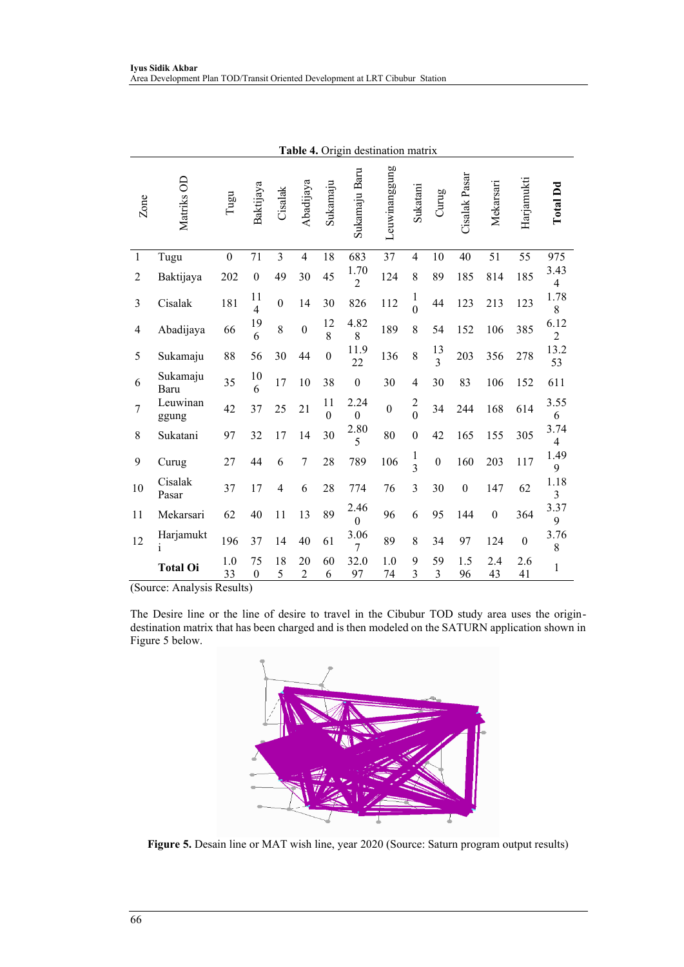|                | <b>Table 4.</b> Origin destination matrix |                             |                      |                |                      |                |                        |                  |                                  |                      |                  |                |              |                        |
|----------------|-------------------------------------------|-----------------------------|----------------------|----------------|----------------------|----------------|------------------------|------------------|----------------------------------|----------------------|------------------|----------------|--------------|------------------------|
| Zone           | Matriks OD                                | $\mathop{\rm Tum}\nolimits$ | Baktijaya            | Cisalak        | Abadijaya            | Sukamaju       | Sukamaju Baru          | Leuwinanggung    | Sukatani                         | Curug                | Cisalak Pasar    | Mekarsari      | Harjamukti   | Total Dd               |
| $\mathbf{1}$   | Tugu                                      | $\boldsymbol{0}$            | 71                   | $\overline{3}$ | $\overline{4}$       | 18             | 683                    | 37               | $\overline{4}$                   | 10                   | 40               | 51             | 55           | 975                    |
| 2              | Baktijaya                                 | 202                         | $\boldsymbol{0}$     | 49             | 30                   | 45             | 1.70<br>$\overline{2}$ | 124              | 8                                | 89                   | 185              | 814            | 185          | 3.43<br>4              |
| 3              | Cisalak                                   | 181                         | 11<br>$\overline{4}$ | $\theta$       | 14                   | 30             | 826                    | 112              | $\mathbf{1}$<br>$\overline{0}$   | 44                   | 123              | 213            | 123          | 1.78<br>8              |
| $\overline{4}$ | Abadijaya                                 | 66                          | 19<br>6              | 8              | $\mathbf{0}$         | 12<br>8        | 4.82<br>8              | 189              | 8                                | 54                   | 152              | 106            | 385          | 6.12<br>$\overline{2}$ |
| 5              | Sukamaju                                  | 88                          | 56                   | 30             | 44                   | $\mathbf{0}$   | 11.9<br>22             | 136              | 8                                | 13<br>$\overline{3}$ | 203              | 356            | 278          | 13.2<br>53             |
| 6              | Sukamaju<br>Baru                          | 35                          | 10<br>6              | 17             | 10                   | 38             | $\mathbf{0}$           | 30               | $\overline{4}$                   | 30                   | 83               | 106            | 152          | 611                    |
| $\overline{7}$ | Leuwinan<br>ggung                         | 42                          | 37                   | 25             | 21                   | 11<br>$\theta$ | 2.24<br>$\theta$       | $\boldsymbol{0}$ | $\overline{c}$<br>$\overline{0}$ | 34                   | 244              | 168            | 614          | 3.55<br>6              |
| $8\,$          | Sukatani                                  | 97                          | 32                   | 17             | 14                   | 30             | 2.80<br>5              | 80               | $\boldsymbol{0}$                 | 42                   | 165              | 155            | 305          | 3.74<br>4              |
| 9              | Curug                                     | 27                          | 44                   | 6              | 7                    | 28             | 789                    | 106              | $\frac{1}{3}$                    | $\boldsymbol{0}$     | 160              | 203            | 117          | 1.49<br>9              |
| 10             | Cisalak<br>Pasar                          | 37                          | 17                   | $\overline{4}$ | 6                    | 28             | 774                    | 76               | 3                                | 30                   | $\boldsymbol{0}$ | 147            | 62           | 1.18<br>3              |
| 11             | Mekarsari                                 | 62                          | 40                   | 11             | 13                   | 89             | 2.46<br>$\theta$       | 96               | 6                                | 95                   | 144              | $\overline{0}$ | 364          | 3.37<br>9              |
| 12             | Harjamukt<br>$\mathbf{1}$                 | 196                         | 37                   | 14             | 40                   | 61             | 3.06<br>7              | 89               | 8                                | 34                   | 97               | 124            | $\mathbf{0}$ | 3.76<br>8              |
|                | <b>Total Oi</b>                           | 1.0<br>33                   | 75<br>$\mathbf{0}$   | 18<br>5        | 20<br>$\overline{2}$ | 60<br>6        | 32.0<br>97             | 1.0<br>74        | 9<br>3                           | 59<br>3              | 1.5<br>96        | 2.4<br>43      | 2.6<br>41    | $\mathbf{1}$           |

**Table 4.** Origin destination matrix

(Source: Analysis Results)

The Desire line or the line of desire to travel in the Cibubur TOD study area uses the origindestination matrix that has been charged and is then modeled on the SATURN application shown in Figure 5 below.



**Figure 5.** Desain line or MAT wish line, year 2020 (Source: Saturn program output results)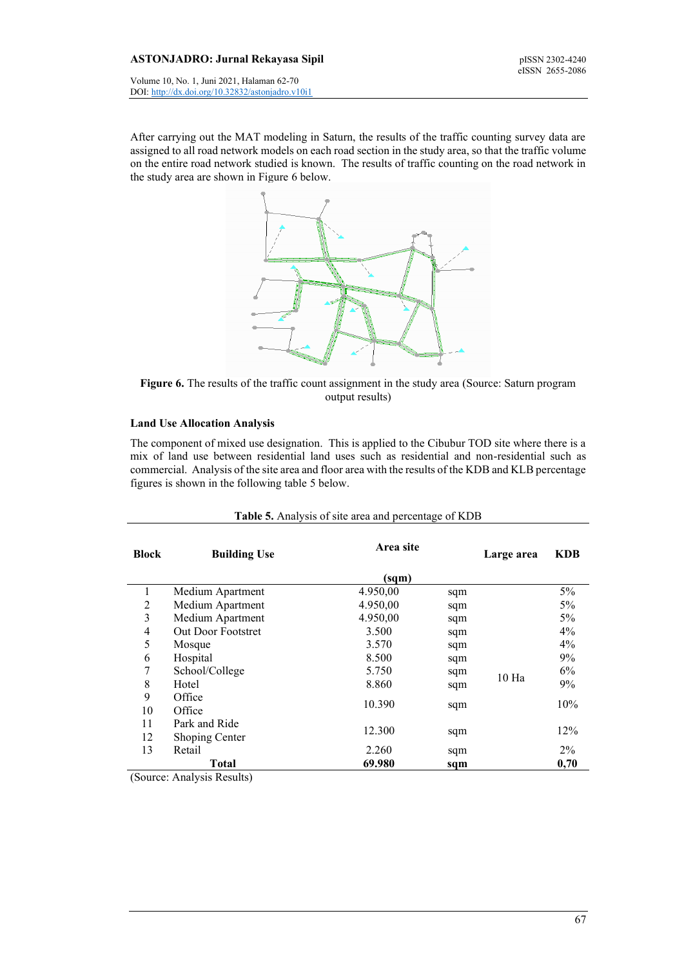# **ASTONJADRO: Jurnal Rekayasa Sipil** pISSN 2302-4240

Volume 10, No. 1, Juni 2021, Halaman 62-70 DOI:<http://dx.doi.org/10.32832/astonjadro.v10i1>

After carrying out the MAT modeling in Saturn, the results of the traffic counting survey data are assigned to all road network models on each road section in the study area, so that the traffic volume on the entire road network studied is known. The results of traffic counting on the road network in the study area are shown in Figure 6 below.



**Figure 6.** The results of the traffic count assignment in the study area (Source: Saturn program output results)

# **Land Use Allocation Analysis**

The component of mixed use designation. This is applied to the Cibubur TOD site where there is a mix of land use between residential land uses such as residential and non-residential such as commercial. Analysis of the site area and floor area with the results of the KDB and KLB percentage figures is shown in the following table 5 below.

| <b>Block</b> | <b>Building Use</b> | Area site<br>(sqm) |     |                  |       |
|--------------|---------------------|--------------------|-----|------------------|-------|
| 1            | Medium Apartment    | 4.950,00           | sqm |                  | 5%    |
| 2            | Medium Apartment    | 4.950,00           | sqm |                  | $5\%$ |
| 3            | Medium Apartment    | 4.950,00           | sqm |                  | $5\%$ |
| 4            | Out Door Footstret  | 3.500              | sqm |                  | $4\%$ |
| 5            | Mosque              | 3.570              | sqm |                  | $4\%$ |
| 6            | Hospital            | 8.500              | sqm |                  | 9%    |
| 7            | School/College      | 5.750              | sqm | 10 <sub>Ha</sub> | 6%    |
| 8            | Hotel               | 8.860              | sqm |                  | 9%    |
| 9<br>10      | Office<br>Office    | 10.390             | sqm |                  | 10%   |
| 11           | Park and Ride       |                    |     |                  |       |
| 12           | Shoping Center      | 12.300             | sqm |                  | 12%   |
| 13           | Retail              | 2.260              | sqm |                  | $2\%$ |
|              | Total               | 69.980             | sqm |                  | 0,70  |

# **Table 5.** Analysis of site area and percentage of KDB

(Source: Analysis Results)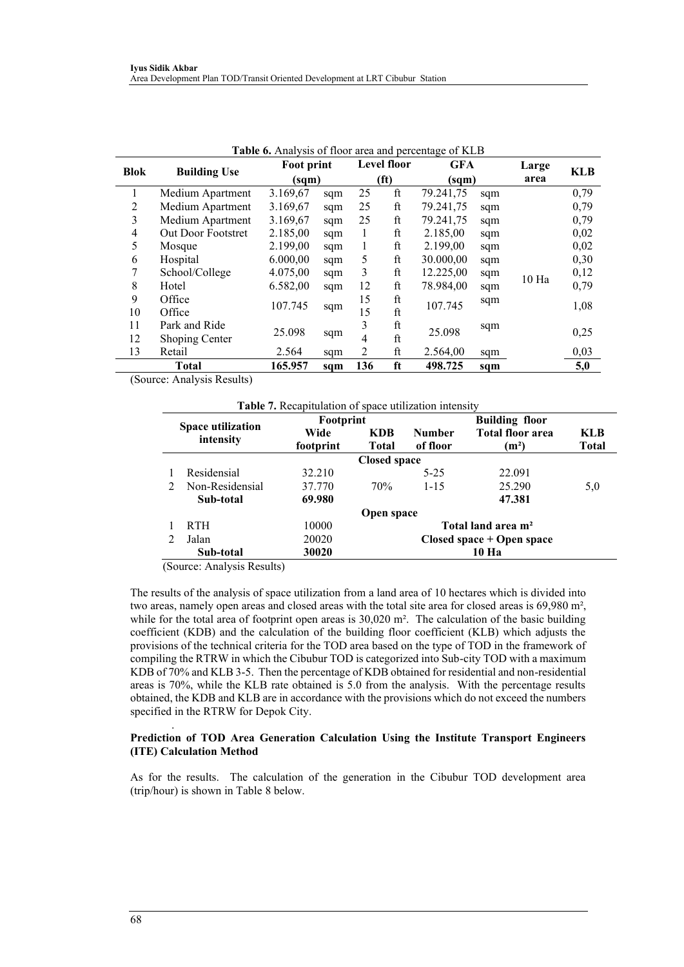|                |                     | Foot print |       |     | <b>Level floor</b> | <b>Table 0.</b> Thin you of floor area and percentage of RED<br><b>GFA</b> |     | Large |            |
|----------------|---------------------|------------|-------|-----|--------------------|----------------------------------------------------------------------------|-----|-------|------------|
| <b>Blok</b>    | <b>Building Use</b> |            | (sqm) |     | (ft)               | (sqm)                                                                      |     | area  | <b>KLB</b> |
| 1              | Medium Apartment    | 3.169,67   | sqm   | 25  | ft                 | 79.241,75                                                                  | sqm |       | 0,79       |
| $\overline{2}$ | Medium Apartment    | 3.169,67   | sqm   | 25  | ft                 | 79.241,75                                                                  | sqm |       | 0,79       |
| 3              | Medium Apartment    | 3.169,67   | sqm   | 25  | ft                 | 79.241,75                                                                  | sqm |       | 0,79       |
| 4              | Out Door Footstret  | 2.185,00   | sqm   | 1   | ft                 | 2.185,00                                                                   | sqm |       | 0,02       |
| 5              | Mosque              | 2.199,00   | sqm   | 1   | ft                 | 2.199,00                                                                   | sqm |       | 0,02       |
| 6              | Hospital            | 6.000,00   | sqm   | 5   | ft                 | 30.000,00                                                                  | sqm |       | 0,30       |
| 7              | School/College      | 4.075,00   | sqm   | 3   | ft                 | 12.225,00                                                                  | sqm |       | 0,12       |
| 8              | Hotel               | 6.582,00   | sqm   | 12  | ft                 | 78.984,00                                                                  | sqm | 10 Ha | 0,79       |
| 9              | Office              |            |       | 15  | ft                 |                                                                            | sqm |       |            |
| 10             | Office              | 107.745    | sqm   | 15  | ft                 | 107.745                                                                    |     |       | 1,08       |
| 11             | Park and Ride       | 25.098     |       | 3   | ft                 | 25.098                                                                     | sqm |       |            |
| 12             | Shoping Center      |            | sqm   | 4   | ft                 |                                                                            |     |       | 0,25       |
| 13             | Retail              | 2.564      | sqm   | 2   | ft                 | 2.564,00                                                                   | sqm |       | 0,03       |
|                | <b>Total</b>        | 165.957    | sqm   | 136 | ft                 | 498.725                                                                    | sqm |       | 5,0        |

**Table 6.** Analysis of floor area and percentage of KLB

(Source: Analysis Results)

|                             |                                       | Table 7. Recapitulation of space utilization intensity<br>Footprint |                           |                                                                           | <b>Building floor</b>          |                     |  |  |
|-----------------------------|---------------------------------------|---------------------------------------------------------------------|---------------------------|---------------------------------------------------------------------------|--------------------------------|---------------------|--|--|
|                             | <b>Space utilization</b><br>intensity | Wide<br><b>KDB</b><br>footprint<br>Total                            |                           | <b>Total floor area</b><br><b>Number</b><br>of floor<br>(m <sup>2</sup> ) |                                | KLB<br><b>Total</b> |  |  |
|                             |                                       |                                                                     | <b>Closed space</b>       |                                                                           |                                |                     |  |  |
|                             | Residensial                           | 32.210                                                              |                           | $5 - 25$                                                                  | 22.091                         |                     |  |  |
| $\mathcal{D}_{\mathcal{L}}$ | Non-Residensial                       | 37.770                                                              | 70%                       | $1 - 15$                                                                  | 25.290                         | 5,0                 |  |  |
|                             | Sub-total                             | 69.980                                                              |                           |                                                                           | 47.381                         |                     |  |  |
|                             |                                       |                                                                     | Open space                |                                                                           |                                |                     |  |  |
|                             | <b>RTH</b>                            | 10000                                                               |                           |                                                                           | Total land area m <sup>2</sup> |                     |  |  |
|                             | Jalan                                 | 20020                                                               | Closed space + Open space |                                                                           |                                |                     |  |  |
|                             | Sub-total                             | 30020                                                               | 10 Ha                     |                                                                           |                                |                     |  |  |

(Source: Analysis Results)

The results of the analysis of space utilization from a land area of 10 hectares which is divided into two areas, namely open areas and closed areas with the total site area for closed areas is 69,980 m², while for the total area of footprint open areas is 30,020 m<sup>2</sup>. The calculation of the basic building coefficient (KDB) and the calculation of the building floor coefficient (KLB) which adjusts the provisions of the technical criteria for the TOD area based on the type of TOD in the framework of compiling the RTRW in which the Cibubur TOD is categorized into Sub-city TOD with a maximum KDB of 70% and KLB 3-5. Then the percentage of KDB obtained for residential and non-residential areas is 70%, while the KLB rate obtained is 5.0 from the analysis. With the percentage results obtained, the KDB and KLB are in accordance with the provisions which do not exceed the numbers specified in the RTRW for Depok City.

#### . **Prediction of TOD Area Generation Calculation Using the Institute Transport Engineers (ITE) Calculation Method**

As for the results. The calculation of the generation in the Cibubur TOD development area (trip/hour) is shown in Table 8 below.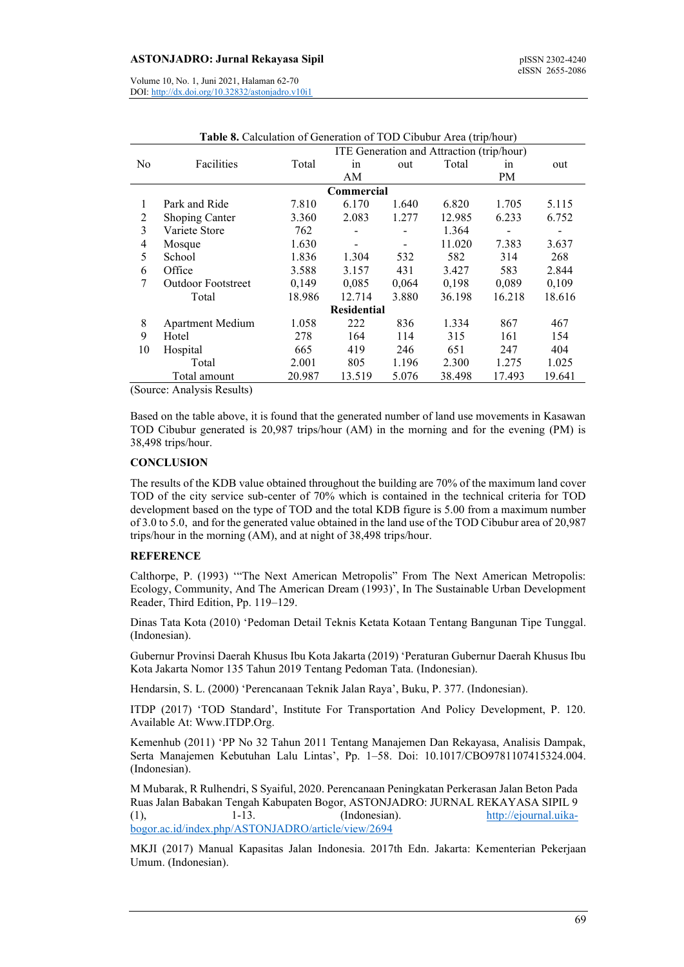## **ASTONJADRO: Jurnal Rekayasa Sipil pISSN 2302-4240** pISSN 2302-4240

Volume 10, No. 1, Juni 2021, Halaman 62-70 DOI:<http://dx.doi.org/10.32832/astonjadro.v10i1>

|    | ITE Generation and Attraction (trip/hour) |        |                    |       |        |        |        |  |  |  |  |  |
|----|-------------------------------------------|--------|--------------------|-------|--------|--------|--------|--|--|--|--|--|
| No | Facilities                                | Total  | in                 | out   | Total  | in     | out    |  |  |  |  |  |
|    |                                           |        | AM                 |       |        | PM     |        |  |  |  |  |  |
|    | <b>Commercial</b>                         |        |                    |       |        |        |        |  |  |  |  |  |
|    | Park and Ride                             | 7.810  | 6.170              | 1.640 | 6.820  | 1.705  | 5.115  |  |  |  |  |  |
| 2  | Shoping Canter                            | 3.360  | 2.083              | 1.277 | 12.985 | 6.233  | 6.752  |  |  |  |  |  |
| 3  | Variete Store                             | 762    |                    |       | 1.364  |        |        |  |  |  |  |  |
| 4  | Mosque                                    | 1.630  |                    |       | 11.020 | 7.383  | 3.637  |  |  |  |  |  |
| 5  | School                                    | 1.836  | 1.304              | 532   | 582    | 314    | 268    |  |  |  |  |  |
| 6  | Office                                    | 3.588  | 3.157              | 431   | 3.427  | 583    | 2.844  |  |  |  |  |  |
| 7  | <b>Outdoor Footstreet</b>                 | 0,149  | 0,085              | 0,064 | 0,198  | 0,089  | 0,109  |  |  |  |  |  |
|    | Total                                     | 18.986 | 12.714             | 3.880 | 36.198 | 16.218 | 18.616 |  |  |  |  |  |
|    |                                           |        | <b>Residential</b> |       |        |        |        |  |  |  |  |  |
| 8  | <b>Apartment Medium</b>                   | 1.058  | 222                | 836   | 1.334  | 867    | 467    |  |  |  |  |  |
| 9  | Hotel                                     | 278    | 164                | 114   | 315    | 161    | 154    |  |  |  |  |  |
| 10 | Hospital                                  | 665    | 419                | 246   | 651    | 247    | 404    |  |  |  |  |  |
|    | Total                                     | 2.001  | 805                | 1.196 | 2.300  | 1.275  | 1.025  |  |  |  |  |  |
|    | Total amount                              | 20.987 | 13.519             | 5.076 | 38.498 | 17.493 | 19.641 |  |  |  |  |  |
|    | $\sigma$ A set less to December           |        |                    |       |        |        |        |  |  |  |  |  |

**Table 8.** Calculation of Generation of TOD Cibubur Area (trip/hour)

(Source: Analysis Results)

Based on the table above, it is found that the generated number of land use movements in Kasawan TOD Cibubur generated is 20,987 trips/hour (AM) in the morning and for the evening (PM) is 38,498 trips/hour.

#### **CONCLUSION**

The results of the KDB value obtained throughout the building are 70% of the maximum land cover TOD of the city service sub-center of 70% which is contained in the technical criteria for TOD development based on the type of TOD and the total KDB figure is 5.00 from a maximum number of 3.0 to 5.0, and for the generated value obtained in the land use of the TOD Cibubur area of 20,987 trips/hour in the morning (AM), and at night of 38,498 trips/hour.

# **REFERENCE**

Calthorpe, P. (1993) '"The Next American Metropolis" From The Next American Metropolis: Ecology, Community, And The American Dream (1993)', In The Sustainable Urban Development Reader, Third Edition, Pp. 119–129.

Dinas Tata Kota (2010) 'Pedoman Detail Teknis Ketata Kotaan Tentang Bangunan Tipe Tunggal. (Indonesian).

Gubernur Provinsi Daerah Khusus Ibu Kota Jakarta (2019) 'Peraturan Gubernur Daerah Khusus Ibu Kota Jakarta Nomor 135 Tahun 2019 Tentang Pedoman Tata. (Indonesian).

Hendarsin, S. L. (2000) 'Perencanaan Teknik Jalan Raya', Buku, P. 377. (Indonesian).

ITDP (2017) 'TOD Standard', Institute For Transportation And Policy Development, P. 120. Available At: Www.ITDP.Org.

Kemenhub (2011) 'PP No 32 Tahun 2011 Tentang Manajemen Dan Rekayasa, Analisis Dampak, Serta Manajemen Kebutuhan Lalu Lintas', Pp. 1–58. Doi: 10.1017/CBO9781107415324.004. (Indonesian).

M Mubarak, R Rulhendri, S Syaiful, 2020. Perencanaan Peningkatan Perkerasan Jalan Beton Pada Ruas Jalan Babakan Tengah Kabupaten Bogor, ASTONJADRO: JURNAL REKAYASA SIPIL 9 (1), 1-13. (Indonesian). [http://ejournal.uika](http://ejournal.uika-bogor.ac.id/index.php/ASTONJADRO/article/view/2694)[bogor.ac.id/index.php/ASTONJADRO/article/view/2694](http://ejournal.uika-bogor.ac.id/index.php/ASTONJADRO/article/view/2694)

MKJI (2017) Manual Kapasitas Jalan Indonesia. 2017th Edn. Jakarta: Kementerian Pekerjaan Umum. (Indonesian).